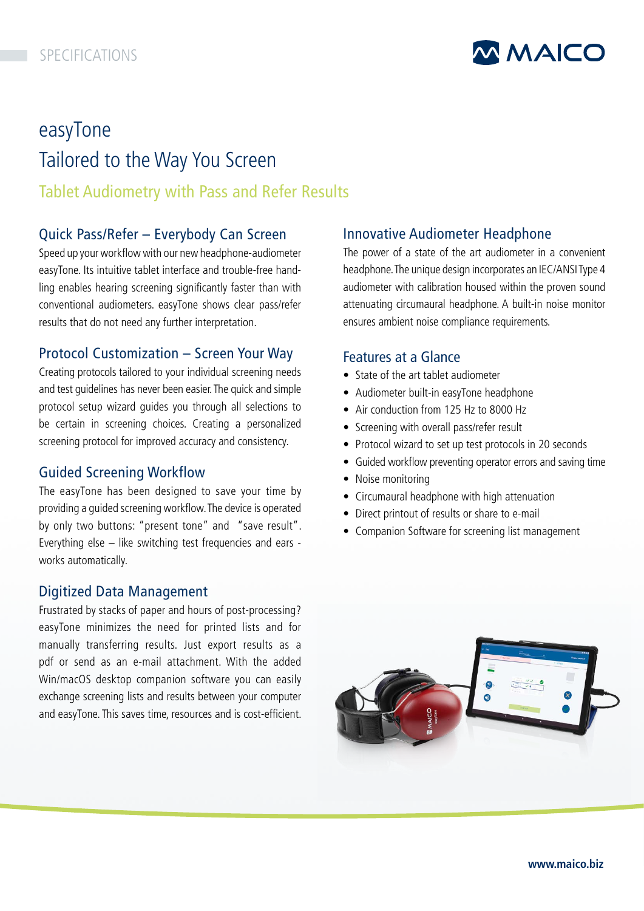

# easyTone Tailored to the Way You Screen Tablet Audiometry with Pass and Refer Results

## Quick Pass/Refer – Everybody Can Screen

Speed up your workflow with our new headphone-audiometer easyTone. Its intuitive tablet interface and trouble-free handling enables hearing screening significantly faster than with conventional audiometers. easyTone shows clear pass/refer results that do not need any further interpretation.

## Protocol Customization – Screen Your Way

Creating protocols tailored to your individual screening needs and test guidelines has never been easier. The quick and simple protocol setup wizard guides you through all selections to be certain in screening choices. Creating a personalized screening protocol for improved accuracy and consistency.

## Guided Screening Workflow

The easyTone has been designed to save your time by providing a guided screening workflow. The device is operated by only two buttons: "present tone" and "save result". Everything else – like switching test frequencies and ears works automatically.

## Digitized Data Management

Frustrated by stacks of paper and hours of post-processing? easyTone minimizes the need for printed lists and for manually transferring results. Just export results as a pdf or send as an e-mail attachment. With the added Win/macOS desktop companion software you can easily exchange screening lists and results between your computer and easyTone. This saves time, resources and is cost-efficient.

## Innovative Audiometer Headphone

The power of a state of the art audiometer in a convenient headphone. The unique design incorporates an IEC/ANSI Type 4 audiometer with calibration housed within the proven sound attenuating circumaural headphone. A built-in noise monitor ensures ambient noise compliance requirements.

## Features at a Glance

- State of the art tablet audiometer
- Audiometer built-in easyTone headphone
- Air conduction from 125 Hz to 8000 Hz
- Screening with overall pass/refer result
- Protocol wizard to set up test protocols in 20 seconds
- Guided workflow preventing operator errors and saving time
- Noise monitoring
- Circumaural headphone with high attenuation
- Direct printout of results or share to e-mail
- Companion Software for screening list management